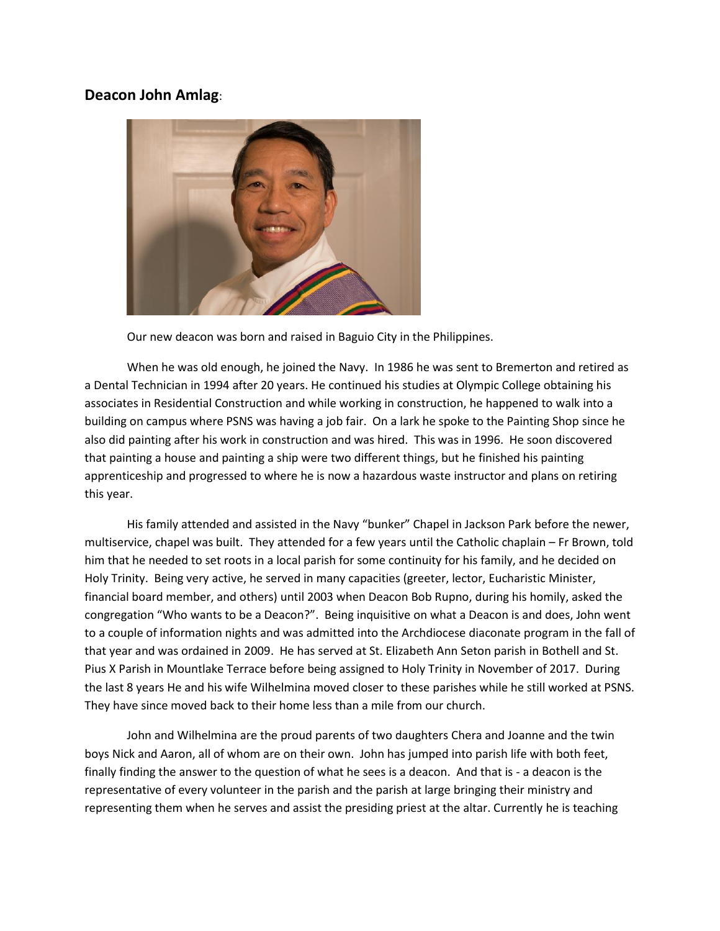## **Deacon John Amlag**:



Our new deacon was born and raised in Baguio City in the Philippines.

When he was old enough, he joined the Navy. In 1986 he was sent to Bremerton and retired as a Dental Technician in 1994 after 20 years. He continued his studies at Olympic College obtaining his associates in Residential Construction and while working in construction, he happened to walk into a building on campus where PSNS was having a job fair. On a lark he spoke to the Painting Shop since he also did painting after his work in construction and was hired. This was in 1996. He soon discovered that painting a house and painting a ship were two different things, but he finished his painting apprenticeship and progressed to where he is now a hazardous waste instructor and plans on retiring this year.

His family attended and assisted in the Navy "bunker" Chapel in Jackson Park before the newer, multiservice, chapel was built. They attended for a few years until the Catholic chaplain – Fr Brown, told him that he needed to set roots in a local parish for some continuity for his family, and he decided on Holy Trinity. Being very active, he served in many capacities (greeter, lector, Eucharistic Minister, financial board member, and others) until 2003 when Deacon Bob Rupno, during his homily, asked the congregation "Who wants to be a Deacon?". Being inquisitive on what a Deacon is and does, John went to a couple of information nights and was admitted into the Archdiocese diaconate program in the fall of that year and was ordained in 2009. He has served at St. Elizabeth Ann Seton parish in Bothell and St. Pius X Parish in Mountlake Terrace before being assigned to Holy Trinity in November of 2017. During the last 8 years He and his wife Wilhelmina moved closer to these parishes while he still worked at PSNS. They have since moved back to their home less than a mile from our church.

John and Wilhelmina are the proud parents of two daughters Chera and Joanne and the twin boys Nick and Aaron, all of whom are on their own. John has jumped into parish life with both feet, finally finding the answer to the question of what he sees is a deacon. And that is - a deacon is the representative of every volunteer in the parish and the parish at large bringing their ministry and representing them when he serves and assist the presiding priest at the altar. Currently he is teaching